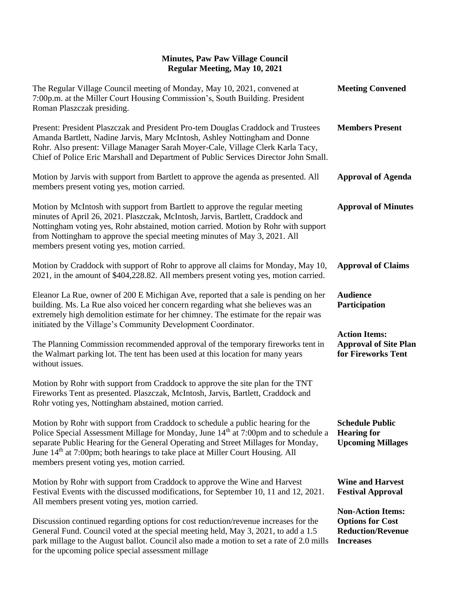| The Regular Village Council meeting of Monday, May 10, 2021, convened at<br>7:00p.m. at the Miller Court Housing Commission's, South Building. President<br>Roman Plaszczak presiding.                                                                                                                                                                                                                             | <b>Meeting Convened</b>                                                                             |
|--------------------------------------------------------------------------------------------------------------------------------------------------------------------------------------------------------------------------------------------------------------------------------------------------------------------------------------------------------------------------------------------------------------------|-----------------------------------------------------------------------------------------------------|
| Present: President Plaszczak and President Pro-tem Douglas Craddock and Trustees<br>Amanda Bartlett, Nadine Jarvis, Mary McIntosh, Ashley Nottingham and Donne<br>Rohr. Also present: Village Manager Sarah Moyer-Cale, Village Clerk Karla Tacy,<br>Chief of Police Eric Marshall and Department of Public Services Director John Small.                                                                          | <b>Members Present</b>                                                                              |
| Motion by Jarvis with support from Bartlett to approve the agenda as presented. All<br>members present voting yes, motion carried.                                                                                                                                                                                                                                                                                 | <b>Approval of Agenda</b>                                                                           |
| Motion by McIntosh with support from Bartlett to approve the regular meeting<br>minutes of April 26, 2021. Plaszczak, McIntosh, Jarvis, Bartlett, Craddock and<br>Nottingham voting yes, Rohr abstained, motion carried. Motion by Rohr with support<br>from Nottingham to approve the special meeting minutes of May 3, 2021. All<br>members present voting yes, motion carried.                                  | <b>Approval of Minutes</b>                                                                          |
| Motion by Craddock with support of Rohr to approve all claims for Monday, May 10,<br>2021, in the amount of \$404,228.82. All members present voting yes, motion carried.                                                                                                                                                                                                                                          | <b>Approval of Claims</b>                                                                           |
| Eleanor La Rue, owner of 200 E Michigan Ave, reported that a sale is pending on her<br>building. Ms. La Rue also voiced her concern regarding what she believes was an<br>extremely high demolition estimate for her chimney. The estimate for the repair was<br>initiated by the Village's Community Development Coordinator.                                                                                     | <b>Audience</b><br>Participation                                                                    |
| The Planning Commission recommended approval of the temporary fireworks tent in<br>the Walmart parking lot. The tent has been used at this location for many years<br>without issues.                                                                                                                                                                                                                              | <b>Action Items:</b><br><b>Approval of Site Plan</b><br>for Fireworks Tent                          |
| Motion by Rohr with support from Craddock to approve the site plan for the TNT<br>Fireworks Tent as presented. Plaszczak, McIntosh, Jarvis, Bartlett, Craddock and<br>Rohr voting yes, Nottingham abstained, motion carried.                                                                                                                                                                                       |                                                                                                     |
| Motion by Rohr with support from Craddock to schedule a public hearing for the<br>Police Special Assessment Millage for Monday, June 14 <sup>th</sup> at 7:00pm and to schedule a<br>separate Public Hearing for the General Operating and Street Millages for Monday,<br>June 14 <sup>th</sup> at 7:00pm; both hearings to take place at Miller Court Housing. All<br>members present voting yes, motion carried. | <b>Schedule Public</b><br><b>Hearing for</b><br><b>Upcoming Millages</b>                            |
| Motion by Rohr with support from Craddock to approve the Wine and Harvest<br>Festival Events with the discussed modifications, for September 10, 11 and 12, 2021.<br>All members present voting yes, motion carried.                                                                                                                                                                                               | <b>Wine and Harvest</b><br><b>Festival Approval</b>                                                 |
| Discussion continued regarding options for cost reduction/revenue increases for the<br>General Fund. Council voted at the special meeting held, May 3, 2021, to add a 1.5<br>park millage to the August ballot. Council also made a motion to set a rate of 2.0 mills<br>for the upcoming police special assessment millage                                                                                        | <b>Non-Action Items:</b><br><b>Options for Cost</b><br><b>Reduction/Revenue</b><br><b>Increases</b> |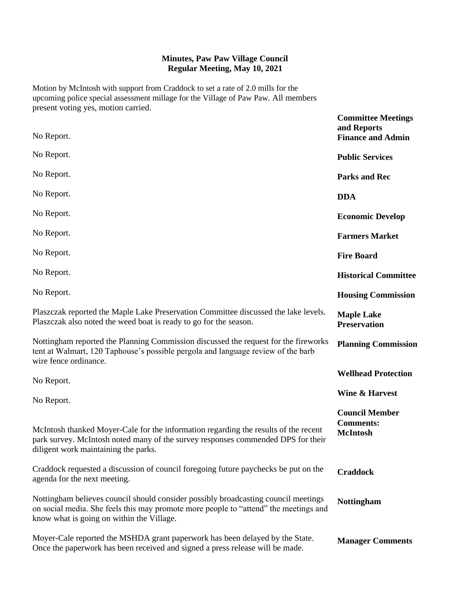Motion by McIntosh with support from Craddock to set a rate of 2.0 mills for the upcoming police special assessment millage for the Village of Paw Paw. All members present voting yes, motion carried.

| No Report.                                                                                                                                                                                                              | <b>Committee Meetings</b><br>and Reports<br><b>Finance and Admin</b> |
|-------------------------------------------------------------------------------------------------------------------------------------------------------------------------------------------------------------------------|----------------------------------------------------------------------|
|                                                                                                                                                                                                                         |                                                                      |
| No Report.                                                                                                                                                                                                              | <b>Public Services</b>                                               |
| No Report.                                                                                                                                                                                                              | <b>Parks and Rec</b>                                                 |
| No Report.                                                                                                                                                                                                              | <b>DDA</b>                                                           |
| No Report.                                                                                                                                                                                                              | <b>Economic Develop</b>                                              |
| No Report.                                                                                                                                                                                                              | <b>Farmers Market</b>                                                |
| No Report.                                                                                                                                                                                                              | <b>Fire Board</b>                                                    |
| No Report.                                                                                                                                                                                                              | <b>Historical Committee</b>                                          |
| No Report.                                                                                                                                                                                                              | <b>Housing Commission</b>                                            |
| Plaszczak reported the Maple Lake Preservation Committee discussed the lake levels.<br>Plaszczak also noted the weed boat is ready to go for the season.                                                                | <b>Maple Lake</b><br><b>Preservation</b>                             |
| Nottingham reported the Planning Commission discussed the request for the fireworks<br>tent at Walmart, 120 Taphouse's possible pergola and language review of the barb<br>wire fence ordinance.                        | <b>Planning Commission</b>                                           |
| No Report.                                                                                                                                                                                                              | <b>Wellhead Protection</b>                                           |
| No Report.                                                                                                                                                                                                              | <b>Wine &amp; Harvest</b>                                            |
| McIntosh thanked Moyer-Cale for the information regarding the results of the recent<br>park survey. McIntosh noted many of the survey responses commended DPS for their<br>diligent work maintaining the parks.         | <b>Council Member</b><br><b>Comments:</b><br><b>McIntosh</b>         |
| Craddock requested a discussion of council foregoing future paychecks be put on the<br>agenda for the next meeting.                                                                                                     | <b>Craddock</b>                                                      |
| Nottingham believes council should consider possibly broadcasting council meetings<br>on social media. She feels this may promote more people to "attend" the meetings and<br>know what is going on within the Village. | <b>Nottingham</b>                                                    |
| Moyer-Cale reported the MSHDA grant paperwork has been delayed by the State.<br>Once the paperwork has been received and signed a press release will be made.                                                           | <b>Manager Comments</b>                                              |